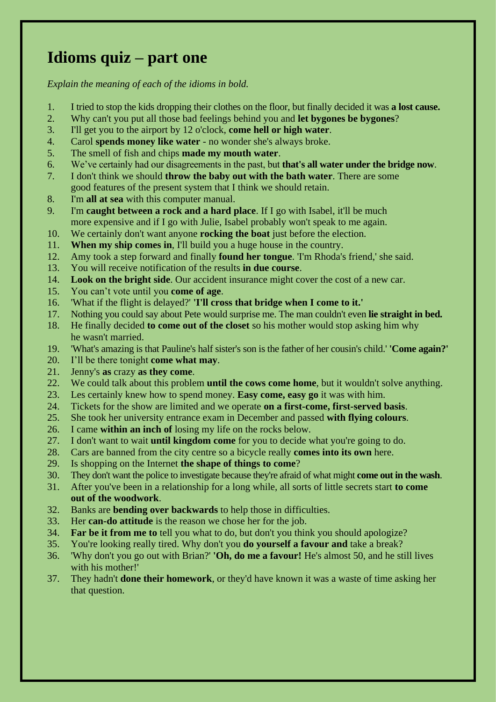# **Idioms quiz – part one**

- 1. I tried to stop the kids dropping their clothes on the floor, but finally decided it was **a lost cause.**
- 2. Why can't you put all those bad feelings behind you and **let bygones be bygones**?
- 3. I'll get you to the airport by 12 o'clock, **come hell or high water**.
- 4. Carol **spends money like water** no wonder she's always broke.
- 5. The smell of fish and chips **made my mouth water**.
- 6. We've certainly had our disagreements in the past, but **that's all water under the bridge now**.
- 7. I don't think we should **throw the baby out with the bath water**. There are some good features of the present system that I think we should retain.
- 8. I'm **all at sea** with this computer manual.
- 9. I'm **caught between a rock and a hard place**. If I go with Isabel, it'll be much more expensive and if I go with Julie, Isabel probably won't speak to me again.
- 10. We certainly don't want anyone **rocking the boat** just before the election.
- 11. **When my ship comes in**, I'll build you a huge house in the country.
- 12. Amy took a step forward and finally **found her tongue**. 'I'm Rhoda's friend,' she said.
- 13. You will receive notification of the results **in due course**.
- 14. **Look on the bright side**. Our accident insurance might cover the cost of a new car.
- 15. You can't vote until you **come of age**.
- 16. 'What if the flight is delayed?' **'I'll cross that bridge when I come to it.'**
- 17. Nothing you could say about Pete would surprise me. The man couldn't even **lie straight in bed.**
- 18. He finally decided **to come out of the closet** so his mother would stop asking him why he wasn't married.
- 19. 'What's amazing is that Pauline's half sister's son is the father of her cousin's child.' **'Come again?'**
- 20. I'll be there tonight **come what may**.
- 21. Jenny's **as** crazy **as they come**.
- 22. We could talk about this problem **until the cows come home**, but it wouldn't solve anything.
- 23. Les certainly knew how to spend money. **Easy come, easy go** it was with him.
- 24. Tickets for the show are limited and we operate **on a first-come, first-served basis**.
- 25. She took her university entrance exam in December and passed **with flying colours**.
- 26. I came **within an inch of** losing my life on the rocks below.
- 27. I don't want to wait **until kingdom come** for you to decide what you're going to do.
- 28. Cars are banned from the city centre so a bicycle really **comes into its own** here.
- 29. Is shopping on the Internet **the shape of things to come**?
- 30. They don't want the police to investigate because they're afraid of what might **come out in the wash**.
- 31. After you've been in a relationship for a long while, all sorts of little secrets start **to come out of the woodwork**.
- 32. Banks are **bending over backwards** to help those in difficulties.
- 33. Her **can-do attitude** is the reason we chose her for the job.
- 34. **Far be it from me to** tell you what to do, but don't you think you should apologize?
- 35. You're looking really tired. Why don't you **do yourself a favour and** take a break?
- 36. 'Why don't you go out with Brian?' **'Oh, do me a favour!** He's almost 50, and he still lives with his mother!'
- 37. They hadn't **done their homework**, or they'd have known it was a waste of time asking her that question.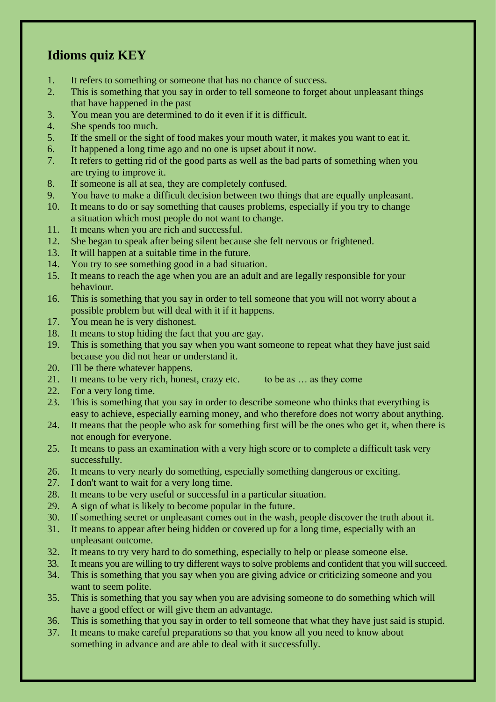#### **Idioms quiz KEY**

- 1. It refers to something or someone that has no chance of success.
- 2. This is something that you say in order to tell someone to forget about unpleasant things that have happened in the past
- 3. You mean you are determined to do it even if it is difficult.
- 4. She spends too much.
- 5. If the smell or the sight of food makes your mouth water, it makes you want to eat it.
- 6. It happened a long time ago and no one is upset about it now.
- 7. It refers to getting rid of the good parts as well as the bad parts of something when you are trying to improve it.
- 8. If someone is all at sea, they are completely confused.
- 9. You have to make a difficult decision between two things that are equally unpleasant.
- 10. It means to do or say something that causes problems, especially if you try to change a situation which most people do not want to change.
- 11. It means when you are rich and successful.
- 12. She began to speak after being silent because she felt nervous or frightened.
- 13. It will happen at a suitable time in the future.
- 14. You try to see something good in a bad situation.
- 15. It means to reach the age when you are an adult and are legally responsible for your behaviour.
- 16. This is something that you say in order to tell someone that you will not worry about a possible problem but will deal with it if it happens.
- 17. You mean he is very dishonest.
- 18. It means to stop hiding the fact that you are gay.
- 19. This is something that you say when you want someone to repeat what they have just said because you did not hear or understand it.
- 20. I'll be there whatever happens.
- 21. It means to be very rich, honest, crazy etc. to be as ... as they come
- 22. For a very long time.
- 23. This is something that you say in order to describe someone who thinks that everything is easy to achieve, especially earning money, and who therefore does not worry about anything.
- 24. It means that the people who ask for something first will be the ones who get it, when there is not enough for everyone.
- 25. It means to pass an examination with a very high score or to complete a difficult task very successfully.
- 26. It means to very nearly do something, especially something dangerous or exciting.
- 27. I don't want to wait for a very long time.
- 28. It means to be very useful or successful in a particular situation.
- 29. A sign of what is likely to become popular in the future.
- 30. If something secret or unpleasant comes out in the wash, people discover the truth about it.
- 31. It means to appear after being hidden or covered up for a long time, especially with an unpleasant outcome.
- 32. It means to try very hard to do something, especially to help or please someone else.
- 33. It means you are willing to try different ways to solve problems and confident that you will succeed.
- 34. This is something that you say when you are giving advice or criticizing someone and you want to seem polite.
- 35. This is something that you say when you are advising someone to do something which will have a good effect or will give them an advantage.
- 36. This is something that you say in order to tell someone that what they have just said is stupid.
- 37. It means to make careful preparations so that you know all you need to know about something in advance and are able to deal with it successfully.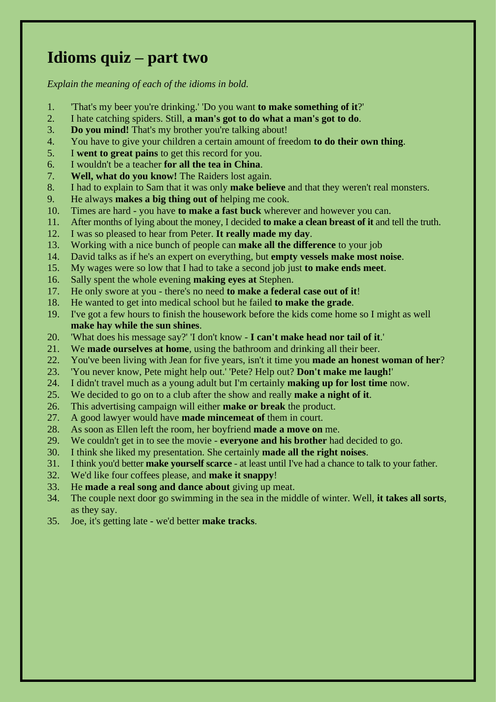#### **Idioms quiz – part two**

- 1. 'That's my beer you're drinking.' 'Do you want **to make something of it**?'
- 2. I hate catching spiders. Still, **a man's got to do what a man's got to do**.
- 3. **Do you mind!** That's my brother you're talking about!
- 4. You have to give your children a certain amount of freedom **to do their own thing**.
- 5. I **went to great pains** to get this record for you.
- 6. I wouldn't be a teacher **for all the tea in China**.
- 7. **Well, what do you know!** The Raiders lost again.
- 8. I had to explain to Sam that it was only **make believe** and that they weren't real monsters.
- 9. He always **makes a big thing out of** helping me cook.
- 10. Times are hard you have **to make a fast buck** wherever and however you can.
- 11. After months of lying about the money, I decided **to make a clean breast of it** and tell the truth.
- 12. I was so pleased to hear from Peter. **It really made my day**.
- 13. Working with a nice bunch of people can **make all the difference** to your job
- 14. David talks as if he's an expert on everything, but **empty vessels make most noise**.
- 15. My wages were so low that I had to take a second job just **to make ends meet**.
- 16. Sally spent the whole evening **making eyes at** Stephen.
- 17. He only swore at you there's no need **to make a federal case out of it**!
- 18. He wanted to get into medical school but he failed **to make the grade**.
- 19. I've got a few hours to finish the housework before the kids come home so I might as well **make hay while the sun shines**.
- 20. 'What does his message say?' 'I don't know **I can't make head nor tail of it**.'
- 21. We **made ourselves at home**, using the bathroom and drinking all their beer.
- 22. You've been living with Jean for five years, isn't it time you **made an honest woman of her**?
- 23. 'You never know, Pete might help out.' 'Pete? Help out? **Don't make me laugh!**'
- 24. I didn't travel much as a young adult but I'm certainly **making up for lost time** now.
- 25. We decided to go on to a club after the show and really **make a night of it**.
- 26. This advertising campaign will either **make or break** the product.
- 27. A good lawyer would have **made mincemeat of** them in court.
- 28. As soon as Ellen left the room, her boyfriend **made a move on** me.
- 29. We couldn't get in to see the movie **everyone and his brother** had decided to go.
- 30. I think she liked my presentation. She certainly **made all the right noises**.
- 31. I think you'd better **make yourself scarce** at least until I've had a chance to talk to your father.
- 32. We'd like four coffees please, and **make it snappy**!
- 33. He **made a real song and dance about** giving up meat.
- 34. The couple next door go swimming in the sea in the middle of winter. Well, **it takes all sorts**, as they say.
- 35. Joe, it's getting late we'd better **make tracks**.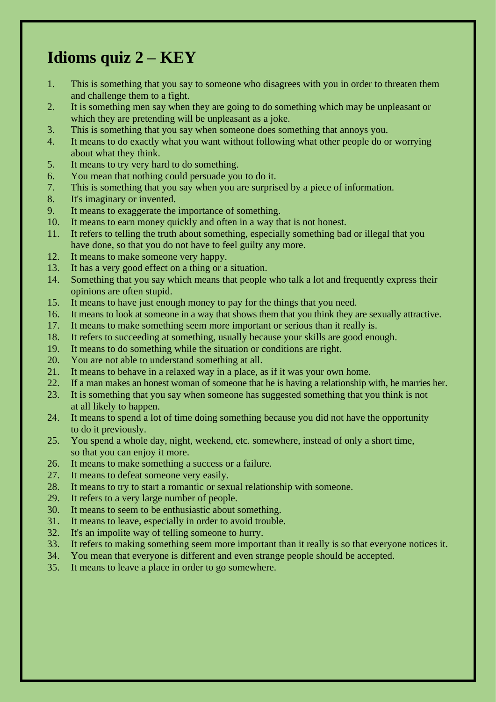### **Idioms quiz 2 – KEY**

- 1. This is something that you say to someone who disagrees with you in order to threaten them and challenge them to a fight.
- 2. It is something men say when they are going to do something which may be unpleasant or which they are pretending will be unpleasant as a joke.
- 3. This is something that you say when someone does something that annoys you.
- 4. It means to do exactly what you want without following what other people do or worrying about what they think.
- 5. It means to try very hard to do something.
- 6. You mean that nothing could persuade you to do it.
- 7. This is something that you say when you are surprised by a piece of information.
- 8. It's imaginary or invented.
- 9. It means to exaggerate the importance of something.
- 10. It means to earn money quickly and often in a way that is not honest.
- 11. It refers to telling the truth about something, especially something bad or illegal that you have done, so that you do not have to feel guilty any more.
- 12. It means to make someone very happy.
- 13. It has a very good effect on a thing or a situation.
- 14. Something that you say which means that people who talk a lot and frequently express their opinions are often stupid.
- 15. It means to have just enough money to pay for the things that you need.
- 16. It means to look at someone in a way that shows them that you think they are sexually attractive.
- 17. It means to make something seem more important or serious than it really is.
- 18. It refers to succeeding at something, usually because your skills are good enough.
- 19. It means to do something while the situation or conditions are right.
- 20. You are not able to understand something at all.
- 21. It means to behave in a relaxed way in a place, as if it was your own home.
- 22. If a man makes an honest woman of someone that he is having a relationship with, he marries her.
- 23. It is something that you say when someone has suggested something that you think is not at all likely to happen.
- 24. It means to spend a lot of time doing something because you did not have the opportunity to do it previously.
- 25. You spend a whole day, night, weekend, etc. somewhere, instead of only a short time, so that you can enjoy it more.
- 26. It means to make something a success or a failure.
- 27. It means to defeat someone very easily.
- 28. It means to try to start a romantic or sexual relationship with someone.
- 29. It refers to a very large number of people.
- 30. It means to seem to be enthusiastic about something.
- 31. It means to leave, especially in order to avoid trouble.
- 32. It's an impolite way of telling someone to hurry.
- 33. It refers to making something seem more important than it really is so that everyone notices it.
- 34. You mean that everyone is different and even strange people should be accepted.
- 35. It means to leave a place in order to go somewhere.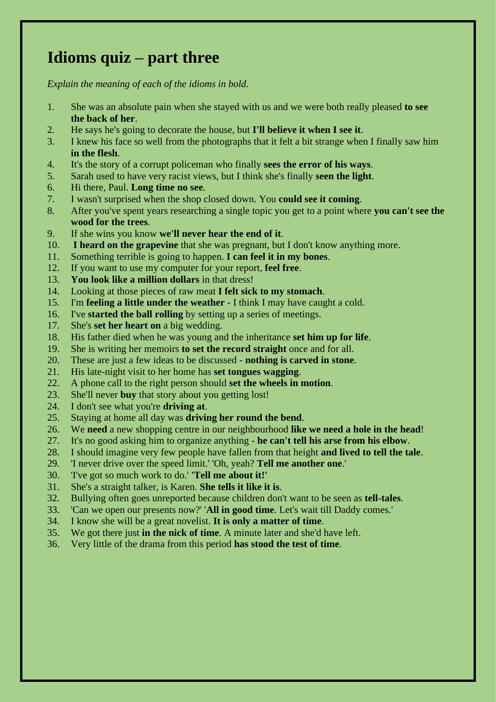### **Idioms quiz – part three**

- 1. She was an absolute pain when she stayed with us and we were both really pleased **to see the back of her**.
- 2. He says he's going to decorate the house, but **I'll believe it when I see it**.
- 3. I knew his face so well from the photographs that it felt a bit strange when I finally saw him **in the flesh**.
- 4. It's the story of a corrupt policeman who finally **sees the error of his ways**.
- 5. Sarah used to have very racist views, but I think she's finally **seen the light**.
- 6. Hi there, Paul. **Long time no see**.
- 7. I wasn't surprised when the shop closed down. You **could see it coming**.
- 8. After you've spent years researching a single topic you get to a point where **you can't see the wood for the trees**.
- 9. If she wins you know **we'll never hear the end of it**.
- 10. **I heard on the grapevine** that she was pregnant, but I don't know anything more.
- 11. Something terrible is going to happen. **I can feel it in my bones**.
- 12. If you want to use my computer for your report, **feel free**.
- 13. **You look like a million dollars** in that dress!
- 14. Looking at those pieces of raw meat **I felt sick to my stomach**.
- 15. I'm **feeling a little under the weather** I think I may have caught a cold.
- 16. I've **started the ball rolling** by setting up a series of meetings.
- 17. She's **set her heart on** a big wedding.
- 18. His father died when he was young and the inheritance **set him up for life**.
- 19. She is writing her memoirs **to set the record straight** once and for all.
- 20. These are just a few ideas to be discussed **nothing is carved in stone**.
- 21. His late-night visit to her home has **set tongues wagging**.
- 22. A phone call to the right person should **set the wheels in motion**.
- 23. She'll never **buy** that story about you getting lost!
- 24. I don't see what you're **driving at**.
- 25. Staying at home all day was **driving her round the bend**.
- 26. We **need** a new shopping centre in our neighbourhood **like we need a hole in the head**!
- 27. It's no good asking him to organize anything **he can't tell his arse from his elbow**.
- 28. I should imagine very few people have fallen from that height **and lived to tell the tale**.
- 29. 'I never drive over the speed limit.' 'Oh, yeah? **Tell me another one**.'
- 30. 'I've got so much work to do.' **'Tell me about it!'**
- 31. She's a straight talker, is Karen. **She tells it like it is**.
- 32. Bullying often goes unreported because children don't want to be seen as **tell-tales**.
- 33. 'Can we open our presents now?' '**All in good time**. Let's wait till Daddy comes.'
- 34. I know she will be a great novelist. **It is only a matter of time**.
- 35. We got there just **in the nick of time**. A minute later and she'd have left.
- 36. Very little of the drama from this period **has stood the test of time**.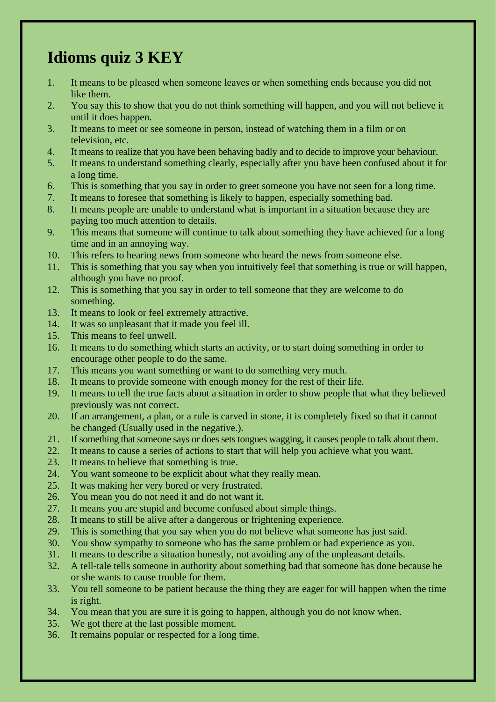# **Idioms quiz 3 KEY**

- 1. It means to be pleased when someone leaves or when something ends because you did not like them.
- 2. You say this to show that you do not think something will happen, and you will not believe it until it does happen.
- 3. It means to meet or see someone in person, instead of watching them in a film or on television, etc.
- 4. It means to realize that you have been behaving badly and to decide to improve your behaviour.
- 5. It means to understand something clearly, especially after you have been confused about it for a long time.
- 6. This is something that you say in order to greet someone you have not seen for a long time.
- 7. It means to foresee that something is likely to happen, especially something bad.
- 8. It means people are unable to understand what is important in a situation because they are paying too much attention to details.
- 9. This means that someone will continue to talk about something they have achieved for a long time and in an annoying way.
- 10. This refers to hearing news from someone who heard the news from someone else.
- 11. This is something that you say when you intuitively feel that something is true or will happen, although you have no proof.
- 12. This is something that you say in order to tell someone that they are welcome to do something.
- 13. It means to look or feel extremely attractive.
- 14. It was so unpleasant that it made you feel ill.
- 15. This means to feel unwell.
- 16. It means to do something which starts an activity, or to start doing something in order to encourage other people to do the same.
- 17. This means you want something or want to do something very much.
- 18. It means to provide someone with enough money for the rest of their life.
- 19. It means to tell the true facts about a situation in order to show people that what they believed previously was not correct.
- 20. If an arrangement, a plan, or a rule is carved in stone, it is completely fixed so that it cannot be changed (Usually used in the negative.).
- 21. If something that someone says or does sets tongues wagging, it causes people to talk about them.
- 22. It means to cause a series of actions to start that will help you achieve what you want.
- 23. It means to believe that something is true.
- 24. You want someone to be explicit about what they really mean.
- 25. It was making her very bored or very frustrated.
- 26. You mean you do not need it and do not want it.
- 27. It means you are stupid and become confused about simple things.
- 28. It means to still be alive after a dangerous or frightening experience.
- 29. This is something that you say when you do not believe what someone has just said.
- 30. You show sympathy to someone who has the same problem or bad experience as you.
- 31. It means to describe a situation honestly, not avoiding any of the unpleasant details.
- 32. A tell-tale tells someone in authority about something bad that someone has done because he or she wants to cause trouble for them.
- 33. You tell someone to be patient because the thing they are eager for will happen when the time is right.
- 34. You mean that you are sure it is going to happen, although you do not know when.
- 35. We got there at the last possible moment.
- 36. It remains popular or respected for a long time.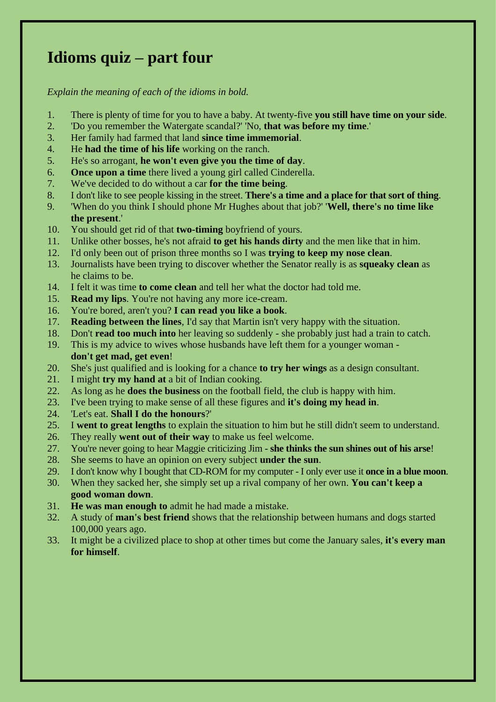# **Idioms quiz – part four**

- 1. There is plenty of time for you to have a baby. At twenty-five **you still have time on your side**.
- 2. 'Do you remember the Watergate scandal?' 'No, **that was before my time**.'
- 3. Her family had farmed that land **since time immemorial**.
- 4. He **had the time of his life** working on the ranch.
- 5. He's so arrogant, **he won't even give you the time of day**.
- 6. **Once upon a time** there lived a young girl called Cinderella.
- 7. We've decided to do without a car **for the time being**.
- 8. I don't like to see people kissing in the street. **There's a time and a place for that sort of thing**.
- 9. 'When do you think I should phone Mr Hughes about that job?' '**Well, there's no time like the present**.'
- 10. You should get rid of that **two-timing** boyfriend of yours.
- 11. Unlike other bosses, he's not afraid **to get his hands dirty** and the men like that in him.
- 12. I'd only been out of prison three months so I was **trying to keep my nose clean**.
- 13. Journalists have been trying to discover whether the Senator really is as **squeaky clean** as he claims to be.
- 14. I felt it was time **to come clean** and tell her what the doctor had told me.
- 15. **Read my lips**. You're not having any more ice-cream.
- 16. You're bored, aren't you? **I can read you like a book**.
- 17. **Reading between the lines**, I'd say that Martin isn't very happy with the situation.
- 18. Don't **read too much into** her leaving so suddenly she probably just had a train to catch.
- 19. This is my advice to wives whose husbands have left them for a younger woman **don't get mad, get even**!
- 20. She's just qualified and is looking for a chance **to try her wings** as a design consultant.
- 21. I might **try my hand at** a bit of Indian cooking.
- 22. As long as he **does the business** on the football field, the club is happy with him.
- 23. I've been trying to make sense of all these figures and **it's doing my head in**.
- 24. 'Let's eat. **Shall I do the honours**?'
- 25. I **went to great lengths** to explain the situation to him but he still didn't seem to understand.
- 26. They really **went out of their way** to make us feel welcome.
- 27. You're never going to hear Maggie criticizing Jim **she thinks the sun shines out of his arse**!
- 28. She seems to have an opinion on every subject **under the sun**.
- 29. I don't know why I bought that CD-ROM for my computer I only ever use it **once in a blue moon**.
- 30. When they sacked her, she simply set up a rival company of her own. **You can't keep a good woman down**.
- 31. **He was man enough to** admit he had made a mistake.
- 32. A study of **man's best friend** shows that the relationship between humans and dogs started 100,000 years ago.
- 33. It might be a civilized place to shop at other times but come the January sales, **it's every man for himself**.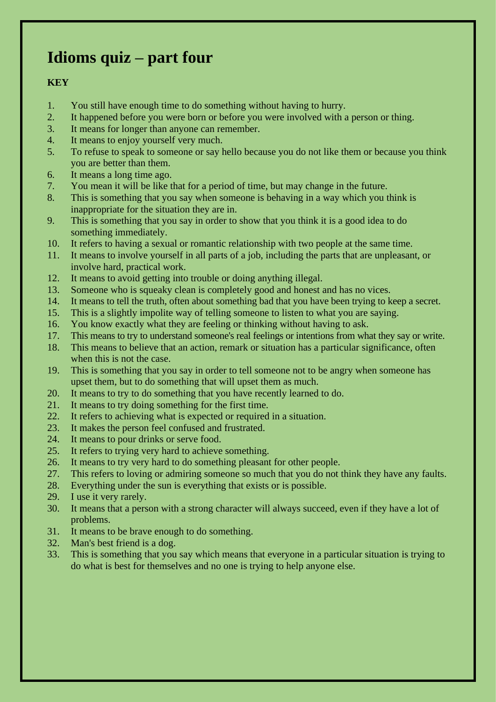# **Idioms quiz – part four**

#### **KEY**

- 1. You still have enough time to do something without having to hurry.
- 2. It happened before you were born or before you were involved with a person or thing.
- 3. It means for longer than anyone can remember.
- 4. It means to enjoy yourself very much.
- 5. To refuse to speak to someone or say hello because you do not like them or because you think you are better than them.
- 6. It means a long time ago.
- 7. You mean it will be like that for a period of time, but may change in the future.
- 8. This is something that you say when someone is behaving in a way which you think is inappropriate for the situation they are in.
- 9. This is something that you say in order to show that you think it is a good idea to do something immediately.
- 10. It refers to having a sexual or romantic relationship with two people at the same time.
- 11. It means to involve yourself in all parts of a job, including the parts that are unpleasant, or involve hard, practical work.
- 12. It means to avoid getting into trouble or doing anything illegal.
- 13. Someone who is squeaky clean is completely good and honest and has no vices.
- 14. It means to tell the truth, often about something bad that you have been trying to keep a secret.
- 15. This is a slightly impolite way of telling someone to listen to what you are saying.
- 16. You know exactly what they are feeling or thinking without having to ask.
- 17. This means to try to understand someone's real feelings or intentions from what they say or write.
- 18. This means to believe that an action, remark or situation has a particular significance, often when this is not the case.
- 19. This is something that you say in order to tell someone not to be angry when someone has upset them, but to do something that will upset them as much.
- 20. It means to try to do something that you have recently learned to do.
- 21. It means to try doing something for the first time.
- 22. It refers to achieving what is expected or required in a situation.
- 23. It makes the person feel confused and frustrated.
- 24. It means to pour drinks or serve food.
- 25. It refers to trying very hard to achieve something.
- 26. It means to try very hard to do something pleasant for other people.
- 27. This refers to loving or admiring someone so much that you do not think they have any faults.
- 28. Everything under the sun is everything that exists or is possible.
- 29. I use it very rarely.
- 30. It means that a person with a strong character will always succeed, even if they have a lot of problems.
- 31. It means to be brave enough to do something.
- 32. Man's best friend is a dog.
- 33. This is something that you say which means that everyone in a particular situation is trying to do what is best for themselves and no one is trying to help anyone else.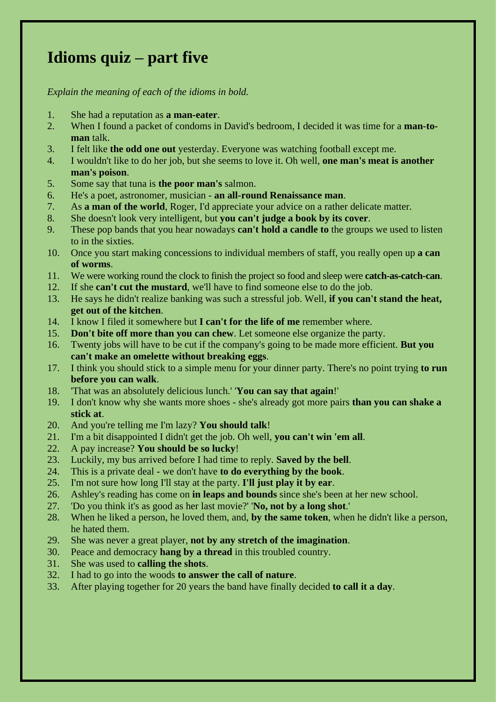# **Idioms quiz – part five**

- 1. She had a reputation as **a man-eater**.
- 2. When I found a packet of condoms in David's bedroom, I decided it was time for a **man-toman** talk.
- 3. I felt like **the odd one out** yesterday. Everyone was watching football except me.
- 4. I wouldn't like to do her job, but she seems to love it. Oh well, **one man's meat is another man's poison**.
- 5. Some say that tuna is **the poor man's** salmon.
- 6. He's a poet, astronomer, musician **an all-round Renaissance man**.
- 7. As **a man of the world**, Roger, I'd appreciate your advice on a rather delicate matter.
- 8. She doesn't look very intelligent, but **you can't judge a book by its cover**.
- 9. These pop bands that you hear nowadays **can't hold a candle to** the groups we used to listen to in the sixties.
- 10. Once you start making concessions to individual members of staff, you really open up **a can of worms**.
- 11. We were working round the clock to finish the project so food and sleep were **catch-as-catch-can**.
- 12. If she **can't cut the mustard**, we'll have to find someone else to do the job.
- 13. He says he didn't realize banking was such a stressful job. Well, **if you can't stand the heat, get out of the kitchen**.
- 14. I know I filed it somewhere but **I can't for the life of me** remember where.
- 15. **Don't bite off more than you can chew**. Let someone else organize the party.
- 16. Twenty jobs will have to be cut if the company's going to be made more efficient. **But you can't make an omelette without breaking eggs**.
- 17. I think you should stick to a simple menu for your dinner party. There's no point trying **to run before you can walk**.
- 18. 'That was an absolutely delicious lunch.' '**You can say that again**!'
- 19. I don't know why she wants more shoes she's already got more pairs **than you can shake a stick at**.
- 20. And you're telling me I'm lazy? **You should talk**!
- 21. I'm a bit disappointed I didn't get the job. Oh well, **you can't win 'em all**.
- 22. A pay increase? **You should be so lucky**!
- 23. Luckily, my bus arrived before I had time to reply. **Saved by the bell**.
- 24. This is a private deal we don't have **to do everything by the book**.
- 25. I'm not sure how long I'll stay at the party. **I'll just play it by ear**.
- 26. Ashley's reading has come on **in leaps and bounds** since she's been at her new school.
- 27. 'Do you think it's as good as her last movie?' '**No, not by a long shot**.'
- 28. When he liked a person, he loved them, and, **by the same token**, when he didn't like a person, he hated them.
- 29. She was never a great player, **not by any stretch of the imagination**.
- 30. Peace and democracy **hang by a thread** in this troubled country.
- 31. She was used to **calling the shots**.
- 32. I had to go into the woods **to answer the call of nature**.
- 33. After playing together for 20 years the band have finally decided **to call it a day**.